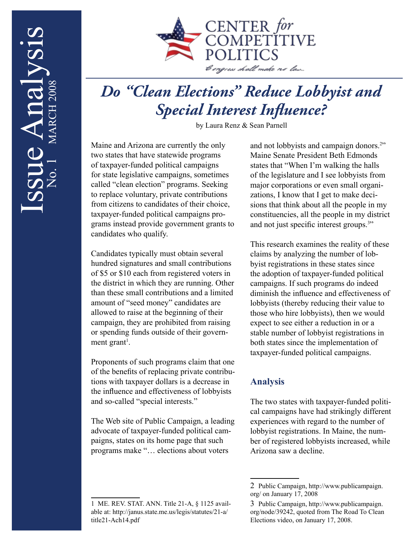

## *Do "Clean Elections" Reduce Lobbyist and Special Interest Influence?*

by Laura Renz & Sean Parnell

Maine and Arizona are currently the only two states that have statewide programs of taxpayer-funded political campaigns for state legislative campaigns, sometimes called "clean election" programs. Seeking to replace voluntary, private contributions from citizens to candidates of their choice, taxpayer-funded political campaigns programs instead provide government grants to candidates who qualify.

Candidates typically must obtain several hundred signatures and small contributions of \$5 or \$10 each from registered voters in the district in which they are running. Other than these small contributions and a limited amount of "seed money" candidates are allowed to raise at the beginning of their campaign, they are prohibited from raising or spending funds outside of their government grant<sup>1</sup>.

Proponents of such programs claim that one of the benefits of replacing private contributions with taxpayer dollars is a decrease in the influence and effectiveness of lobbyists and so-called "special interests."

The Web site of Public Campaign, a leading advocate of taxpayer-funded political campaigns, states on its home page that such programs make "… elections about voters

and not lobbyists and campaign donors.<sup>2"</sup> Maine Senate President Beth Edmonds states that "When I'm walking the halls of the legislature and I see lobbyists from major corporations or even small organizations, I know that I get to make decisions that think about all the people in my constituencies, all the people in my district and not just specific interest groups.<sup>3"</sup>

This research examines the reality of these claims by analyzing the number of lobbyist registrations in these states since the adoption of taxpayer-funded political campaigns. If such programs do indeed diminish the influence and effectiveness of lobbyists (thereby reducing their value to those who hire lobbyists), then we would expect to see either a reduction in or a stable number of lobbyist registrations in both states since the implementation of taxpayer-funded political campaigns.

## **Analysis**

The two states with taxpayer-funded political campaigns have had strikingly different experiences with regard to the number of lobbyist registrations. In Maine, the number of registered lobbyists increased, while Arizona saw a decline.

<sup>1</sup> ME. REV. STAT. ANN. Title 21-A, § 1125 available at: http://janus.state.me.us/legis/statutes/21-a/ title21-Ach14.pdf

<sup>2</sup> Public Campaign, http://www.publicampaign. org/ on January 17, 2008

<sup>3</sup> Public Campaign, http://www.publicampaign. org/node/39242, quoted from The Road To Clean Elections video, on January 17, 2008.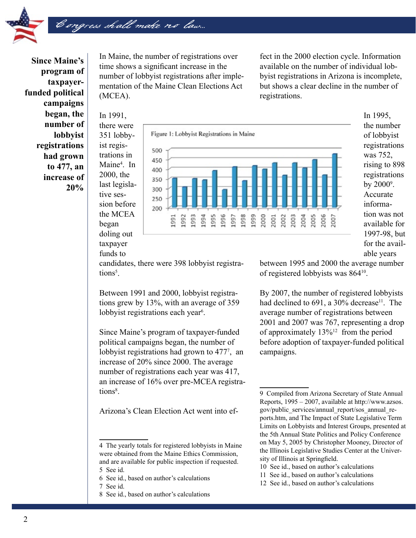

**Since Maine's program of taxpayerfunded political campaigns began, the number of lobbyist registrations had grown to 477, an increase of 20%**

In Maine, the number of registrations over time shows a significant increase in the number of lobbyist registrations after implementation of the Maine Clean Elections Act (MCEA).

fect in the 2000 election cycle. Information available on the number of individual lobbyist registrations in Arizona is incomplete, but shows a clear decline in the number of registrations.

In 1991, there were 351 lobbyist registrations in Maine4 . In 2000, the last legislative session before the MCEA began doling out taxpayer funds to

Congress shall make no law...



In 1995, the number of lobbyist registrations was 752, rising to 898 registrations by  $2000^\circ$ . Accurate information was not available for 1997-98, but for the available years

candidates, there were 398 lobbyist registrations<sup>5</sup>.

Between 1991 and 2000, lobbyist registrations grew by 13%, with an average of 359 lobbyist registrations each year<sup>6</sup>.

Since Maine's program of taxpayer-funded political campaigns began, the number of lobbyist registrations had grown to 477<sup>7</sup>, an increase of 20% since 2000. The average number of registrations each year was 417, an increase of 16% over pre-MCEA registrations<sup>8</sup>.

Arizona's Clean Election Act went into ef-

- 7 See id.
- 8 See id., based on author's calculations

between 1995 and 2000 the average number of registered lobbyists was 86410.

By 2007, the number of registered lobbyists had declined to  $691$ , a  $30\%$  decrease<sup>11</sup>. The average number of registrations between 2001 and 2007 was 767, representing a drop of approximately  $13\%^{12}$  from the period before adoption of taxpayer-funded political campaigns.

- 10 See id., based on author's calculations
- 11 See id., based on author's calculations
- 12 See id., based on author's calculations

<sup>4</sup> The yearly totals for registered lobbyists in Maine were obtained from the Maine Ethics Commission, and are available for public inspection if requested. 5 See id.

<sup>6</sup> See id., based on author's calculations

<sup>9</sup> Compiled from Arizona Secretary of State Annual Reports, 1995 – 2007, available at http://www.azsos. gov/public\_services/annual\_report/sos\_annual\_reports.htm, and The Impact of State Legislative Term Limits on Lobbyists and Interest Groups, presented at the 5th Annual State Politics and Policy Conference on May 5, 2005 by Christopher Mooney, Director of the Illinois Legislative Studies Center at the University of Illinois at Springfield.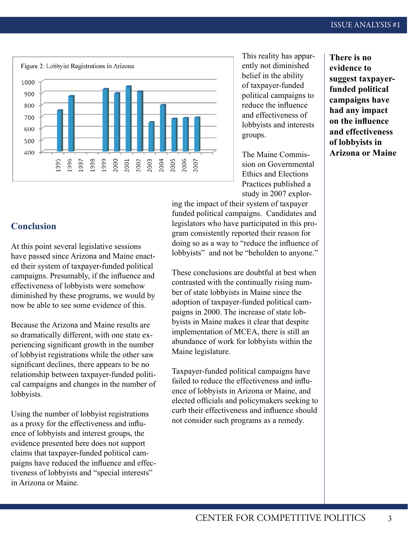

This reality has apparently not diminished belief in the ability of taxpayer-funded political campaigns to reduce the influence and effectiveness of lobbyists and interests groups.

The Maine Commission on Governmental Ethics and Elections Practices published a study in 2007 explor-

ing the impact of their system of taxpayer funded political campaigns. Candidates and legislators who have participated in this program consistently reported their reason for doing so as a way to "reduce the influence of lobbyists" and not be "beholden to anyone."

These conclusions are doubtful at best when contrasted with the continually rising number of state lobbyists in Maine since the adoption of taxpayer-funded political campaigns in 2000. The increase of state lobbyists in Maine makes it clear that despite implementation of MCEA, there is still an abundance of work for lobbyists within the Maine legislature.

Taxpayer-funded political campaigns have failed to reduce the effectiveness and influence of lobbyists in Arizona or Maine, and elected officials and policymakers seeking to curb their effectiveness and influence should not consider such programs as a remedy.

**There is no evidence to suggest taxpayerfunded political campaigns have had any impact on the influence and effectiveness of lobbyists in Arizona or Maine**

## **Conclusion**

At this point several legislative sessions have passed since Arizona and Maine enacted their system of taxpayer-funded political campaigns. Presumably, if the influence and effectiveness of lobbyists were somehow diminished by these programs, we would by now be able to see some evidence of this.

Because the Arizona and Maine results are so dramatically different, with one state experiencing significant growth in the number of lobbyist registrations while the other saw significant declines, there appears to be no relationship between taxpayer-funded political campaigns and changes in the number of lobbyists.

Using the number of lobbyist registrations as a proxy for the effectiveness and influence of lobbyists and interest groups, the evidence presented here does not support claims that taxpayer-funded political campaigns have reduced the influence and effectiveness of lobbyists and "special interests" in Arizona or Maine.